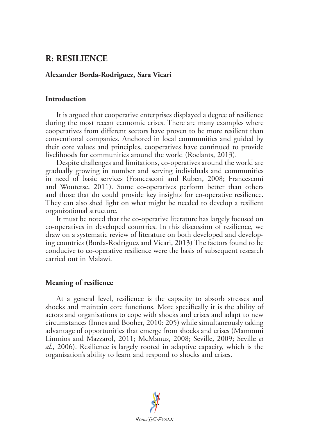# **R: RESILIENCE**

### **Alexander Borda-Rodriguez, Sara Vicari**

### **Introduction**

It is argued that cooperative enterprises displayed a degree of resilience during the most recent economic crises. There are many examples where cooperatives from different sectors have proven to be more resilient than conventional companies. Anchored in local communities and guided by their core values and principles, cooperatives have continued to provide livelihoods for communities around the world (Roelants, 2013).

Despite challenges and limitations, co-operatives around the world are gradually growing in number and serving individuals and communities in need of basic services (Francesconi and Ruben, 2008; Francesconi and Wouterse, 2011). Some co-operatives perform better than others and those that do could provide key insights for co-operative resilience. They can also shed light on what might be needed to develop a resilient organizational structure.

It must be noted that the co-operative literature has largely focused on co-operatives in developed countries. In this discussion of resilience, we draw on a systematic review of literature on both developed and developing countries (Borda-Rodriguez and Vicari, 2013) The factors found to be conducive to co-operative resilience were the basis of subsequent research carried out in Malawi.

# **Meaning of resilience**

At a general level, resilience is the capacity to absorb stresses and shocks and maintain core functions. More specifically it is the ability of actors and organisations to cope with shocks and crises and adapt to new circumstances (Innes and Booher, 2010: 205) while simultaneously taking advantage of opportunities that emerge from shocks and crises (Mamouni Limnios and Mazzarol, 2011; McManus, 2008; Seville, 2009; Seville *et al*., 2006). Resilience is largely rooted in adaptive capacity, which is the organisation's ability to learn and respond to shocks and crises.

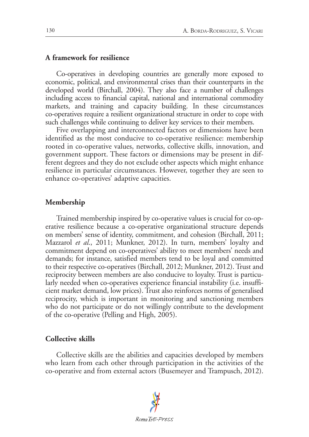#### **A framework for resilience**

Co-operatives in developing countries are generally more exposed to economic, political, and environmental crises than their counterparts in the developed world (Birchall, 2004). They also face a number of challenges including access to financial capital, national and international commodity markets, and training and capacity building. In these circumstances co-operatives require a resilient organizational structure in order to cope with such challenges while continuing to deliver key services to their members.

Five overlapping and interconnected factors or dimensions have been identified as the most conducive to co-operative resilience: membership rooted in co-operative values, networks, collective skills, innovation, and government support. These factors or dimensions may be present in different degrees and they do not exclude other aspects which might enhance resilience in particular circumstances. However, together they are seen to enhance co-operatives' adaptive capacities.

#### **Membership**

Trained membership inspired by co-operative values is crucial for co-operative resilience because a co-operative organizational structure depends on members' sense of identity, commitment, and cohesion (Birchall, 2011; Mazzarol *et al*., 2011; Munkner, 2012). In turn, members' loyalty and commitment depend on co-operatives' ability to meet members' needs and demands; for instance, satisfied members tend to be loyal and committed to their respective co-operatives (Birchall, 2012; Munkner, 2012). Trust and reciprocity between members are also conducive to loyalty. Trust is particularly needed when co-operatives experience financial instability (i.e. insufficient market demand, low prices). Trust also reinforces norms of generalised reciprocity, which is important in monitoring and sanctioning members who do not participate or do not willingly contribute to the development of the co-operative (Pelling and High, 2005).

#### **Collective skills**

Collective skills are the abilities and capacities developed by members who learn from each other through participation in the activities of the co-operative and from external actors (Busemeyer and Trampusch, 2012).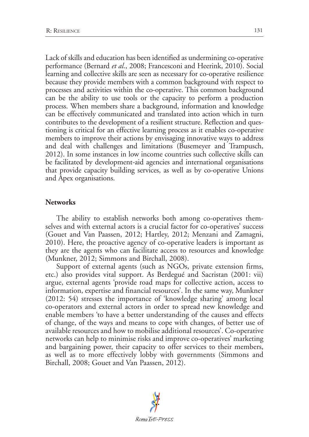Lack of skills and education has been identified as undermining co-operative performance (Bernard *et al*., 2008; Francesconi and Heerink, 2010). Social learning and collective skills are seen as necessary for co-operative resilience because they provide members with a common background with respect to processes and activities within the co-operative. This common background can be the ability to use tools or the capacity to perform a production process. When members share a background, information and knowledge can be effectively communicated and translated into action which in turn contributes to the development of a resilient structure. Reflection and questioning is critical for an effective learning process as it enables co-operative members to improve their actions by envisaging innovative ways to address and deal with challenges and limitations (Busemeyer and Trampusch, 2012). In some instances in low income countries such collective skills can be facilitated by development-aid agencies and international organisations that provide capacity building services, as well as by co-operative Unions and Apex organisations.

#### **Networks**

The ability to establish networks both among co-operatives themselves and with external actors is a crucial factor for co-operatives' success (Gouet and Van Paassen, 2012; Hartley, 2012; Menzani and Zamagni, 2010). Here, the proactive agency of co-operative leaders is important as they are the agents who can facilitate access to resources and knowledge (Munkner, 2012; Simmons and Birchall, 2008).

Support of external agents (such as NGOs, private extension firms, etc.) also provides vital support. As Berdegué and Sacristan (2001: vii) argue, external agents 'provide road maps for collective action, access to information, expertise and financial resources'. In the same way, Munkner (2012: 54) stresses the importance of 'knowledge sharing' among local co-operators and external actors in order to spread new knowledge and enable members 'to have a better understanding of the causes and effects of change, of the ways and means to cope with changes, of better use of available resources and how to mobilise additional resources'. Co-operative networks can help to minimise risks and improve co-operatives' marketing and bargaining power, their capacity to offer services to their members, as well as to more effectively lobby with governments (Simmons and Birchall, 2008; Gouet and Van Paassen, 2012).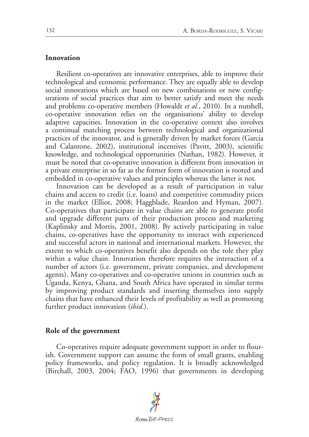#### **Innovation**

Resilient co-operatives are innovative enterprises, able to improve their technological and economic performance. They are equally able to develop social innovations which are based on new combinations or new configurations of social practices that aim to better satisfy and meet the needs and problems co-operative members (Howaldt *et al.*, 2010). In a nutshell, co-operative innovation relies on the organisations' ability to develop adaptive capacities. Innovation in the co-operative context also involves a continual matching process between technological and organizational practices of the innovator, and is generally driven by market forces (Garcia and Calantone, 2002), institutional incentives (Pavitt, 2003), scientific knowledge, and technological opportunities (Nathan, 1982). However, it must be noted that co-operative innovation is different from innovation in a private enterprise in so far as the former form of innovation is rooted and embedded in co-operative values and principles whereas the latter is not.

Innovation can be developed as a result of participation in value chains and access to credit (i.e. loans) and competitive commodity prices in the market (Elliot, 2008; Haggblade, Reardon and Hyman, 2007). Co-operatives that participate in value chains are able to generate profit and upgrade different parts of their production process and marketing (Kaplinsky and Morris, 2001, 2008). By actively participating in value chains, co-operatives have the opportunity to interact with experienced and successful actors in national and international markets. However, the extent to which co-operatives benefit also depends on the role they play within a value chain. Innovation therefore requires the interaction of a number of actors (i.e. government, private companies, and development agents). Many co-operatives and co-operative unions in countries such as Uganda, Kenya, Ghana, and South Africa have operated in similar terms by improving product standards and inserting themselves into supply chains that have enhanced their levels of profitability as well as promoting further product innovation (*ibid.*).

#### **Role of the government**

Co-operatives require adequate government support in order to flourish. Government support can assume the form of small grants, enabling policy frameworks, and policy regulation. It is broadly acknowledged (Birchall, 2003, 2004; FAO, 1996) that governments in developing

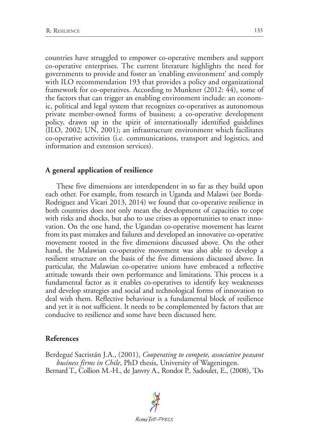countries have struggled to empower co-operative members and support co-operative enterprises. The current literature highlights the need for governments to provide and foster an 'enabling environment' and comply with ILO recommendation 193 that provides a policy and organizational framework for co-operatives. According to Munkner (2012: 44), some of the factors that can trigger an enabling environment include: an economic, political and legal system that recognizes co-operatives as autonomous private member-owned forms of business; a co-operative development policy, drawn up in the spirit of internationally identified guidelines (ILO, 2002; UN, 2001); an infrastructure environment which facilitates co-operative activities (i.e. communications, transport and logistics, and information and extension services).

## **A general application of resilience**

These five dimensions are interdependent in so far as they build upon each other. For example, from research in Uganda and Malawi (see Borda-Rodriguez and Vicari 2013, 2014) we found that co-operative resilience in both countries does not only mean the development of capacities to cope with risks and shocks, but also to use crises as opportunities to enact innovation. On the one hand, the Ugandan co-operative movement has learnt from its past mistakes and failures and developed an innovative co-operative movement rooted in the five dimensions discussed above. On the other hand, the Malawian co-operative movement was also able to develop a resilient structure on the basis of the five dimensions discussed above. In particular, the Malawian co-operative unions have embraced a reflective attitude towards their own performance and limitations. This process is a fundamental factor as it enables co-operatives to identify key weaknesses and develop strategies and social and technological forms of innovation to deal with them. Reflective behaviour is a fundamental block of resilience and yet it is not sufficient. It needs to be complemented by factors that are conducive to resilience and some have been discussed here.

# **References**

Berdegué Sacristán J.A., (2001), *Cooperating to compete, associative peasant business firms in Chile*, PhD thesis, University of Wageningen. Bernard T., Collion M.-H., de Janvry A., Rondot P., Sadoulet, E., (2008), 'Do

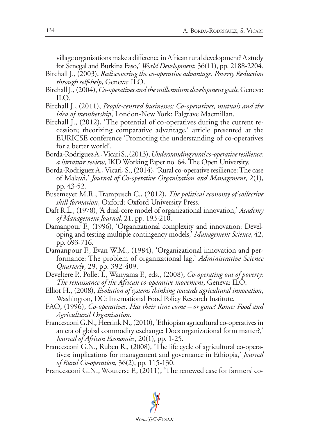village organisations make a difference in African rural development? A study for Senegal and Burkina Faso,' *World Development*, 36(11), pp. 2188-2204.

- Birchall J., (2003), *Rediscovering the co-operative advantage. Poverty Reduction through self-help*, Geneva: ILO.
- Birchall J., (2004), *Co-operatives and the millennium development goals*, Geneva: ILO.
- Birchall J., (2011), *People-centred businesses: Co-operatives, mutuals and the idea of membership*, London-New York: Palgrave Macmillan.
- Birchall J., (2012), 'The potential of co-operatives during the current recession; theorizing comparative advantage,' article presented at the EURICSE conference 'Promoting the understanding of co-operatives for a better world'.
- Borda-Rodriguez A., Vicari S., (2013), *Understanding rural co-operative resilience: a literature review*, IKD Working Paper no. 64, The Open University.
- Borda-Rodriguez A., Vicari, S., (2014), 'Rural co-operative resilience: The case of Malawi,' *Journal of Co-operative Organization and Management*, 2(1), pp. 43-52.
- Busemeyer M.R., Trampusch C., (2012), *The political economy of collective skill formation*, Oxford: Oxford University Press.
- Daft R.L., (1978), 'A dual-core model of organizational innovation,' *Academy of Management Journal*, 21, pp. 193-210.
- Damanpour F., (1996), 'Organizational complexity and innovation: Developing and testing multiple contingency models,' *Management Science*, 42, pp. 693-716.
- Damanpour F., Evan W.M., (1984), 'Organizational innovation and performance: The problem of organizational lag,' *Administrative Science Quarterly*, 29, pp. 392-409.
- Develtere P., Pollet I., Wanyama F., eds., (2008), *Co-operating out of poverty: The renaissance of the African co-operative movement*, Geneva: ILO.
- Elliot H., (2008), *Evolution of systems thinking towards agricultural innovation*, Washington, DC: International Food Policy Research Institute.
- FAO, (1996), *Co-operatives. Has their time come or gone? Rome: Food and Agricultural Organisation*.
- Francesconi G.N., Heerink N., (2010), 'Ethiopian agricultural co-operatives in an era of global commodity exchange: Does organizational form matter?,' *Journal of African Economies*, 20(1), pp. 1-25.
- Francesconi G.N., Ruben R., (2008), 'The life cycle of agricultural co-operatives: implications for management and governance in Ethiopia,' *Journal of Rural Co-operation*, 36(2), pp. 115-130.

Francesconi G.N., Wouterse F., (2011), 'The renewed case for farmers' co-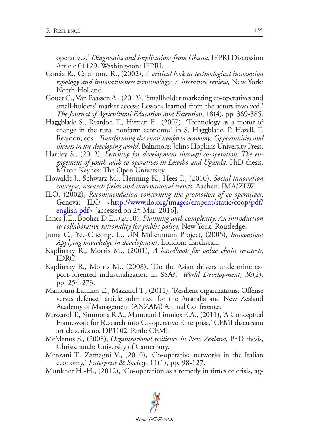operatives,' *Diagnostics and implications from Ghana*, IFPRI Discussion Article 01129. Washing-ton: IFPRI.

- Garcia R., Calantone R., (2002), *A critical look at technological innovation typology and innovativeness terminology: A literature review*, New York: North-Holland.
- Gouët C., Van Paassen A., (2012), 'Smallholder marketing co-operatives and small-holders' market access: Lessons learned from the actors involved,' *The Journal of Agricultural Education and Extension*, 18(4), pp. 369-385.
- Haggblade S., Reardon T., Hyman E., (2007), 'Technology as a motor of change in the rural nonfarm economy,' in S. Haggblade, P. Hazell, T. Reardon, eds., *Transforming the rural nonfarm economy: Opportunities and threats in the developing world*, Baltimore: Johns Hopkins University Press.
- Hartley S., (2012), *Learning for development through co-operation: The engagement of youth with co-operatives in Lesotho and Uganda*, PhD thesis, Milton Keynes: The Open University.
- Howaldt J., Schwarz M., Henning K., Hees F., (2010), *Social innovation concepts, research fields and international trends*, Aachen: IMA/ZLW.
- ILO, (2002), *Recommendation concerning the promotion of co-operatives*, Geneva: ILO <[http://www.ilo.org/images/empent/static/coop/pdf/](http://www.ilo.org/images/empent/static/coop/pdf/english.pdf) [english.pdf](http://www.ilo.org/images/empent/static/coop/pdf/english.pdf)> [accessed on 25 Mar. 2016].
- Innes J.E., Booher D.E., (2010), *Planning with complexity: An introduction to collaborative rationality for public policy*, New York: Routledge.
- Juma C., Yee-Cheong, L., UN Millennium Project, (2005), *Innovation: Applying knowledge in development*, London: Earthscan.
- Kaplinsky R., Morris M., (2001), *A handbook for value chain research*, IDRC.
- Kaplinsky R., Morris M., (2008), 'Do the Asian drivers undermine export-oriented industrialization in SSA?,' *World Development*, 36(2), pp. 254-273.
- Mamouni Limnios E., Mazzarol T., (2011), 'Resilient organizations: Offense versus defence,' article submitted for the Australia and New Zealand Academy of Management (ANZAM) Annual Conference.
- Mazzarol T., Simmons R.A., Mamouni Limnios E.A., (2011), 'A Conceptual Framework for Research into Co-operative Enterprise,' CEMI discussion article series no. DP1102, Perth: CEMI.
- McManus S., (2008), *Organizational resilience in New Zealand*, PhD thesis, Christchurch: University of Canterbury.
- Menzani T., Zamagni V., (2010), 'Co-operative networks in the Italian economy,' *Enterprise* & *Society*, 11(1), pp. 98-127.
- Münkner H.-H., (2012), 'Co-operation as a remedy in times of crisis, ag-